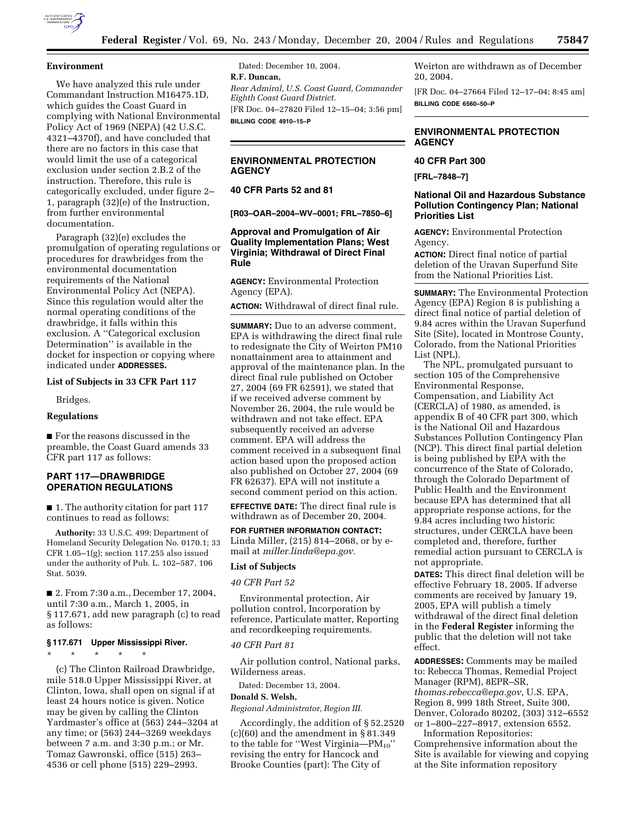

### **Environment**

We have analyzed this rule under Commandant Instruction M16475.1D, which guides the Coast Guard in complying with National Environmental Policy Act of 1969 (NEPA) (42 U.S.C. 4321–4370f), and have concluded that there are no factors in this case that would limit the use of a categorical exclusion under section 2.B.2 of the instruction. Therefore, this rule is categorically excluded, under figure 2– 1, paragraph (32)(e) of the Instruction, from further environmental documentation.

Paragraph (32)(e) excludes the promulgation of operating regulations or procedures for drawbridges from the environmental documentation requirements of the National Environmental Policy Act (NEPA). Since this regulation would alter the normal operating conditions of the drawbridge, it falls within this exclusion. A ''Categorical exclusion Determination'' is available in the docket for inspection or copying where indicated under **ADDRESSES.**

# **List of Subjects in 33 CFR Part 117**

#### Bridges.

## **Regulations**

■ For the reasons discussed in the preamble, the Coast Guard amends 33 CFR part 117 as follows:

# **PART 117—DRAWBRIDGE OPERATION REGULATIONS**

■ 1. The authority citation for part 117 continues to read as follows:

**Authority:** 33 U.S.C. 499; Department of Homeland Security Delegation No. 0170.1; 33 CFR 1.05–1(g); section 117.255 also issued under the authority of Pub. L. 102–587, 106 Stat. 5039.

■ 2. From 7:30 a.m., December 17, 2004, until 7:30 a.m., March 1, 2005, in § 117.671, add new paragraph (c) to read as follows:

### **§ 117.671 Upper Mississippi River.**

\* \* \* \* \*

(c) The Clinton Railroad Drawbridge, mile 518.0 Upper Mississippi River, at Clinton, Iowa, shall open on signal if at least 24 hours notice is given. Notice may be given by calling the Clinton Yardmaster's office at (563) 244–3204 at any time; or (563) 244–3269 weekdays between 7 a.m. and 3:30 p.m.; or Mr. Tomaz Gawronski, office (515) 263– 4536 or cell phone (515) 229–2993.

Dated: December 10, 2004. **R.F. Duncan,**  *Rear Admiral, U.S. Coast Guard, Commander Eighth Coast Guard District.* [FR Doc. 04–27820 Filed 12–15–04; 3:56 pm] **BILLING CODE 4910–15–P**

# **ENVIRONMENTAL PROTECTION AGENCY**

**40 CFR Parts 52 and 81** 

**[R03–OAR–2004–WV–0001; FRL–7850–6]** 

## **Approval and Promulgation of Air Quality Implementation Plans; West Virginia; Withdrawal of Direct Final Rule**

**AGENCY:** Environmental Protection Agency (EPA).

**ACTION:** Withdrawal of direct final rule.

**SUMMARY:** Due to an adverse comment, EPA is withdrawing the direct final rule to redesignate the City of Weirton PM10 nonattainment area to attainment and approval of the maintenance plan. In the direct final rule published on October 27, 2004 (69 FR 62591), we stated that if we received adverse comment by November 26, 2004, the rule would be withdrawn and not take effect. EPA subsequently received an adverse comment. EPA will address the comment received in a subsequent final action based upon the proposed action also published on October 27, 2004 (69 FR 62637). EPA will not institute a second comment period on this action.

**EFFECTIVE DATE:** The direct final rule is withdrawn as of December 20, 2004.

**FOR FURTHER INFORMATION CONTACT:** Linda Miller, (215) 814–2068, or by email at *miller.linda@epa.gov.*

#### **List of Subjects**

## *40 CFR Part 52*

Environmental protection, Air pollution control, Incorporation by reference, Particulate matter, Reporting and recordkeeping requirements.

#### *40 CFR Part 81*

Air pollution control, National parks, Wilderness areas.

Dated: December 13, 2004.

# **Donald S. Welsh,**

*Regional Administrator, Region III.*

Accordingly, the addition of § 52.2520  $(c)(60)$  and the amendment in §81.349 to the table for "West Virginia— $PM_{10}$ " revising the entry for Hancock and Brooke Counties (part): The City of

Weirton are withdrawn as of December 20, 2004.

[FR Doc. 04–27664 Filed 12–17–04; 8:45 am] **BILLING CODE 6560–50–P**

## **ENVIRONMENTAL PROTECTION AGENCY**

#### **40 CFR Part 300**

**[FRL–7848–7]** 

### **National Oil and Hazardous Substance Pollution Contingency Plan; National Priorities List**

**AGENCY:** Environmental Protection Agency.

**ACTION:** Direct final notice of partial deletion of the Uravan Superfund Site from the National Priorities List.

**SUMMARY:** The Environmental Protection Agency (EPA) Region 8 is publishing a direct final notice of partial deletion of 9.84 acres within the Uravan Superfund Site (Site), located in Montrose County, Colorado, from the National Priorities List (NPL).

The NPL, promulgated pursuant to section 105 of the Comprehensive Environmental Response, Compensation, and Liability Act (CERCLA) of 1980, as amended, is appendix B of 40 CFR part 300, which is the National Oil and Hazardous Substances Pollution Contingency Plan (NCP). This direct final partial deletion is being published by EPA with the concurrence of the State of Colorado, through the Colorado Department of Public Health and the Environment because EPA has determined that all appropriate response actions, for the 9.84 acres including two historic structures, under CERCLA have been completed and, therefore, further remedial action pursuant to CERCLA is not appropriate.

**DATES:** This direct final deletion will be effective February 18, 2005. If adverse comments are received by January 19, 2005, EPA will publish a timely withdrawal of the direct final deletion in the **Federal Register** informing the public that the deletion will not take effect.

**ADDRESSES:** Comments may be mailed to: Rebecca Thomas, Remedial Project Manager (RPM), 8EPR–SR, *thomas.rebecca@epa.gov*, U.S. EPA, Region 8, 999 18th Street, Suite 300, Denver, Colorado 80202, (303) 312–6552 or 1–800–227–8917, extension 6552.

Information Repositories: Comprehensive information about the Site is available for viewing and copying at the Site information repository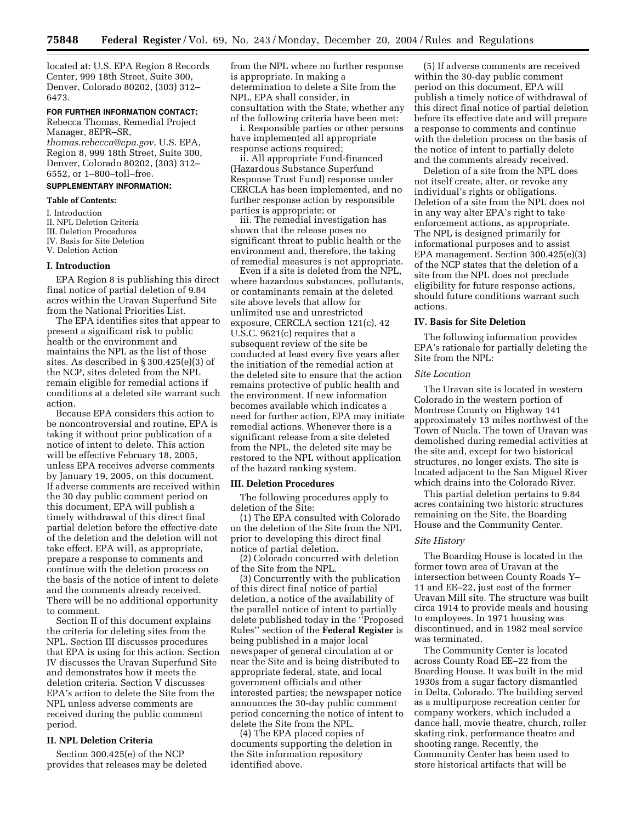located at: U.S. EPA Region 8 Records Center, 999 18th Street, Suite 300, Denver, Colorado 80202, (303) 312– 6473.

### **FOR FURTHER INFORMATION CONTACT:**

Rebecca Thomas, Remedial Project Manager, 8EPR–SR,

*thomas.rebecca@epa.gov*, U.S. EPA, Region 8, 999 18th Street, Suite 300, Denver, Colorado 80202, (303) 312– 6552, or 1–800–toll–free.

# **SUPPLEMENTARY INFORMATION:**

# **Table of Contents:**

- I. Introduction
- II. NPL Deletion Criteria
- III. Deletion Procedures
- IV. Basis for Site Deletion
- V. Deletion Action

## **I. Introduction**

EPA Region 8 is publishing this direct final notice of partial deletion of 9.84 acres within the Uravan Superfund Site from the National Priorities List.

The EPA identifies sites that appear to present a significant risk to public health or the environment and maintains the NPL as the list of those sites. As described in § 300.425(e)(3) of the NCP, sites deleted from the NPL remain eligible for remedial actions if conditions at a deleted site warrant such action.

Because EPA considers this action to be noncontroversial and routine, EPA is taking it without prior publication of a notice of intent to delete. This action will be effective February 18, 2005, unless EPA receives adverse comments by January 19, 2005, on this document. If adverse comments are received within the 30 day public comment period on this document, EPA will publish a timely withdrawal of this direct final partial deletion before the effective date of the deletion and the deletion will not take effect. EPA will, as appropriate, prepare a response to comments and continue with the deletion process on the basis of the notice of intent to delete and the comments already received. There will be no additional opportunity to comment.

Section II of this document explains the criteria for deleting sites from the NPL. Section III discusses procedures that EPA is using for this action. Section IV discusses the Uravan Superfund Site and demonstrates how it meets the deletion criteria. Section V discusses EPA's action to delete the Site from the NPL unless adverse comments are received during the public comment period.

## **II. NPL Deletion Criteria**

Section 300.425(e) of the NCP provides that releases may be deleted

from the NPL where no further response is appropriate. In making a determination to delete a Site from the NPL, EPA shall consider, in consultation with the State, whether any of the following criteria have been met:

i. Responsible parties or other persons have implemented all appropriate response actions required;

ii. All appropriate Fund-financed (Hazardous Substance Superfund Response Trust Fund) response under CERCLA has been implemented, and no further response action by responsible parties is appropriate; or

iii. The remedial investigation has shown that the release poses no significant threat to public health or the environment and, therefore, the taking of remedial measures is not appropriate.

Even if a site is deleted from the NPL, where hazardous substances, pollutants, or contaminants remain at the deleted site above levels that allow for unlimited use and unrestricted exposure, CERCLA section 121(c), 42 U.S.C. 9621(c) requires that a subsequent review of the site be conducted at least every five years after the initiation of the remedial action at the deleted site to ensure that the action remains protective of public health and the environment. If new information becomes available which indicates a need for further action, EPA may initiate remedial actions. Whenever there is a significant release from a site deleted from the NPL, the deleted site may be restored to the NPL without application of the hazard ranking system.

#### **III. Deletion Procedures**

The following procedures apply to deletion of the Site:

(1) The EPA consulted with Colorado on the deletion of the Site from the NPL prior to developing this direct final notice of partial deletion.

(2) Colorado concurred with deletion of the Site from the NPL.

(3) Concurrently with the publication of this direct final notice of partial deletion, a notice of the availability of the parallel notice of intent to partially delete published today in the ''Proposed Rules'' section of the **Federal Register** is being published in a major local newspaper of general circulation at or near the Site and is being distributed to appropriate federal, state, and local government officials and other interested parties; the newspaper notice announces the 30-day public comment period concerning the notice of intent to delete the Site from the NPL.

(4) The EPA placed copies of documents supporting the deletion in the Site information repository identified above.

(5) If adverse comments are received within the 30-day public comment period on this document, EPA will publish a timely notice of withdrawal of this direct final notice of partial deletion before its effective date and will prepare a response to comments and continue with the deletion process on the basis of the notice of intent to partially delete and the comments already received.

Deletion of a site from the NPL does not itself create, alter, or revoke any individual's rights or obligations. Deletion of a site from the NPL does not in any way alter EPA's right to take enforcement actions, as appropriate. The NPL is designed primarily for informational purposes and to assist EPA management. Section 300.425(e)(3) of the NCP states that the deletion of a site from the NPL does not preclude eligibility for future response actions, should future conditions warrant such actions.

### **IV. Basis for Site Deletion**

The following information provides EPA's rationale for partially deleting the Site from the NPL:

#### *Site Location*

The Uravan site is located in western Colorado in the western portion of Montrose County on Highway 141 approximately 13 miles northwest of the Town of Nucla. The town of Uravan was demolished during remedial activities at the site and, except for two historical structures, no longer exists. The site is located adjacent to the San Miguel River which drains into the Colorado River.

This partial deletion pertains to 9.84 acres containing two historic structures remaining on the Site, the Boarding House and the Community Center.

### *Site History*

The Boarding House is located in the former town area of Uravan at the intersection between County Roads Y– 11 and EE–22, just east of the former Uravan Mill site. The structure was built circa 1914 to provide meals and housing to employees. In 1971 housing was discontinued, and in 1982 meal service was terminated.

The Community Center is located across County Road EE–22 from the Boarding House. It was built in the mid 1930s from a sugar factory dismantled in Delta, Colorado. The building served as a multipurpose recreation center for company workers, which included a dance hall, movie theatre, church, roller skating rink, performance theatre and shooting range. Recently, the Community Center has been used to store historical artifacts that will be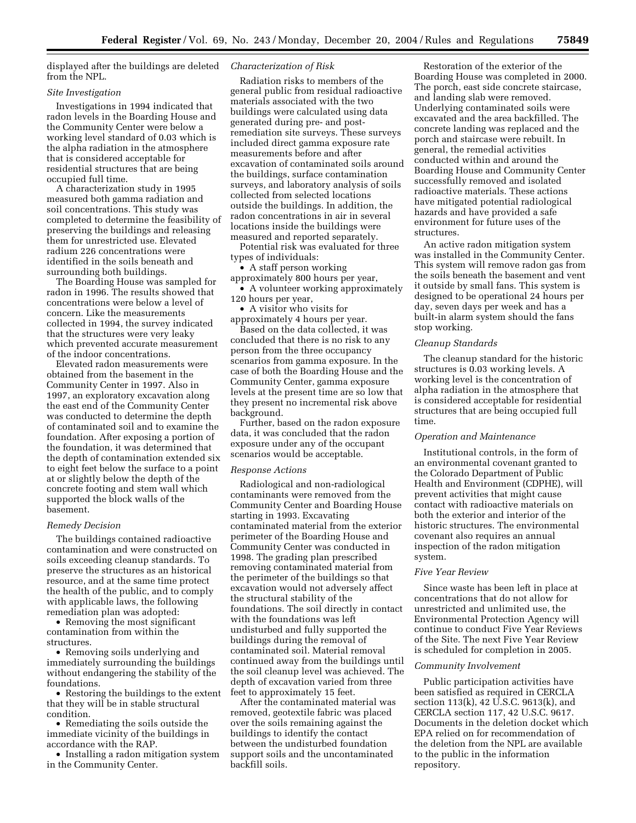displayed after the buildings are deleted from the NPL.

### *Site Investigation*

Investigations in 1994 indicated that radon levels in the Boarding House and the Community Center were below a working level standard of 0.03 which is the alpha radiation in the atmosphere that is considered acceptable for residential structures that are being occupied full time.

A characterization study in 1995 measured both gamma radiation and soil concentrations. This study was completed to determine the feasibility of preserving the buildings and releasing them for unrestricted use. Elevated radium 226 concentrations were identified in the soils beneath and surrounding both buildings.

The Boarding House was sampled for radon in 1996. The results showed that concentrations were below a level of concern. Like the measurements collected in 1994, the survey indicated that the structures were very leaky which prevented accurate measurement of the indoor concentrations.

Elevated radon measurements were obtained from the basement in the Community Center in 1997. Also in 1997, an exploratory excavation along the east end of the Community Center was conducted to determine the depth of contaminated soil and to examine the foundation. After exposing a portion of the foundation, it was determined that the depth of contamination extended six to eight feet below the surface to a point at or slightly below the depth of the concrete footing and stem wall which supported the block walls of the basement.

#### *Remedy Decision*

The buildings contained radioactive contamination and were constructed on soils exceeding cleanup standards. To preserve the structures as an historical resource, and at the same time protect the health of the public, and to comply with applicable laws, the following remediation plan was adopted:

• Removing the most significant contamination from within the structures.

• Removing soils underlying and immediately surrounding the buildings without endangering the stability of the foundations.

• Restoring the buildings to the extent that they will be in stable structural condition.

• Remediating the soils outside the immediate vicinity of the buildings in accordance with the RAP.

• Installing a radon mitigation system in the Community Center.

### *Characterization of Risk*

Radiation risks to members of the general public from residual radioactive materials associated with the two buildings were calculated using data generated during pre- and postremediation site surveys. These surveys included direct gamma exposure rate measurements before and after excavation of contaminated soils around the buildings, surface contamination surveys, and laboratory analysis of soils collected from selected locations outside the buildings. In addition, the radon concentrations in air in several locations inside the buildings were measured and reported separately.

Potential risk was evaluated for three types of individuals:

• A staff person working approximately 800 hours per year,

• A volunteer working approximately 120 hours per year,

• A visitor who visits for approximately 4 hours per year.

Based on the data collected, it was concluded that there is no risk to any

person from the three occupancy scenarios from gamma exposure. In the case of both the Boarding House and the Community Center, gamma exposure levels at the present time are so low that they present no incremental risk above background.

Further, based on the radon exposure data, it was concluded that the radon exposure under any of the occupant scenarios would be acceptable.

#### *Response Actions*

Radiological and non-radiological contaminants were removed from the Community Center and Boarding House starting in 1993. Excavating contaminated material from the exterior perimeter of the Boarding House and Community Center was conducted in 1998. The grading plan prescribed removing contaminated material from the perimeter of the buildings so that excavation would not adversely affect the structural stability of the foundations. The soil directly in contact with the foundations was left undisturbed and fully supported the buildings during the removal of contaminated soil. Material removal continued away from the buildings until the soil cleanup level was achieved. The depth of excavation varied from three feet to approximately 15 feet.

After the contaminated material was removed, geotextile fabric was placed over the soils remaining against the buildings to identify the contact between the undisturbed foundation support soils and the uncontaminated backfill soils.

Restoration of the exterior of the Boarding House was completed in 2000. The porch, east side concrete staircase, and landing slab were removed. Underlying contaminated soils were excavated and the area backfilled. The concrete landing was replaced and the porch and staircase were rebuilt. In general, the remedial activities conducted within and around the Boarding House and Community Center successfully removed and isolated radioactive materials. These actions have mitigated potential radiological hazards and have provided a safe environment for future uses of the structures.

An active radon mitigation system was installed in the Community Center. This system will remove radon gas from the soils beneath the basement and vent it outside by small fans. This system is designed to be operational 24 hours per day, seven days per week and has a built-in alarm system should the fans stop working.

#### *Cleanup Standards*

The cleanup standard for the historic structures is 0.03 working levels. A working level is the concentration of alpha radiation in the atmosphere that is considered acceptable for residential structures that are being occupied full time.

#### *Operation and Maintenance*

Institutional controls, in the form of an environmental covenant granted to the Colorado Department of Public Health and Environment (CDPHE), will prevent activities that might cause contact with radioactive materials on both the exterior and interior of the historic structures. The environmental covenant also requires an annual inspection of the radon mitigation system.

#### *Five Year Review*

Since waste has been left in place at concentrations that do not allow for unrestricted and unlimited use, the Environmental Protection Agency will continue to conduct Five Year Reviews of the Site. The next Five Year Review is scheduled for completion in 2005.

#### *Community Involvement*

Public participation activities have been satisfied as required in CERCLA section 113(k), 42 U.S.C. 9613(k), and CERCLA section 117, 42 U.S.C. 9617. Documents in the deletion docket which EPA relied on for recommendation of the deletion from the NPL are available to the public in the information repository.